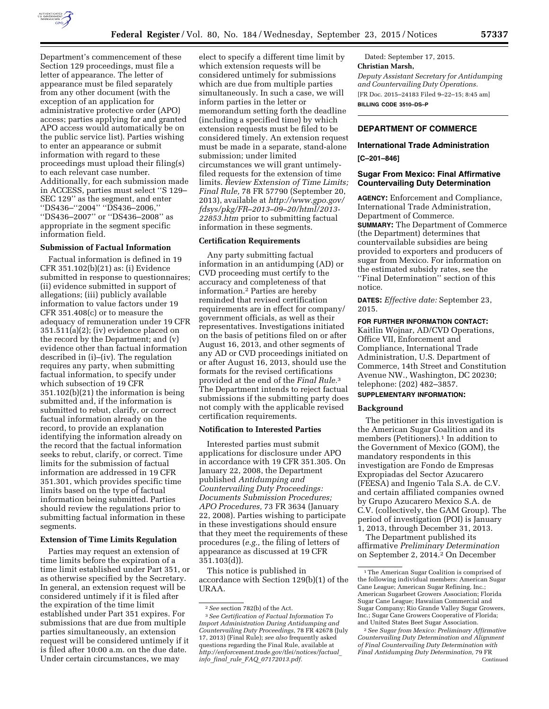

Department's commencement of these Section 129 proceedings, must file a letter of appearance. The letter of appearance must be filed separately from any other document (with the exception of an application for administrative protective order (APO) access; parties applying for and granted APO access would automatically be on the public service list). Parties wishing to enter an appearance or submit information with regard to these proceedings must upload their filing(s) to each relevant case number. Additionally, for each submission made in ACCESS, parties must select ''S 129– SEC 129'' as the segment, and enter ''DS436–''2004'' ''DS436–2006,'' ''DS436–2007'' or ''DS436–2008'' as appropriate in the segment specific information field.

### **Submission of Factual Information**

Factual information is defined in 19 CFR 351.102(b)(21) as: (i) Evidence submitted in response to questionnaires; (ii) evidence submitted in support of allegations; (iii) publicly available information to value factors under 19 CFR 351.408(c) or to measure the adequacy of remuneration under 19 CFR 351.511(a)(2); (iv) evidence placed on the record by the Department; and (v) evidence other than factual information described in (i)–(iv). The regulation requires any party, when submitting factual information, to specify under which subsection of 19 CFR 351.102(b)(21) the information is being submitted and, if the information is submitted to rebut, clarify, or correct factual information already on the record, to provide an explanation identifying the information already on the record that the factual information seeks to rebut, clarify, or correct. Time limits for the submission of factual information are addressed in 19 CFR 351.301, which provides specific time limits based on the type of factual information being submitted. Parties should review the regulations prior to submitting factual information in these segments.

### **Extension of Time Limits Regulation**

Parties may request an extension of time limits before the expiration of a time limit established under Part 351, or as otherwise specified by the Secretary. In general, an extension request will be considered untimely if it is filed after the expiration of the time limit established under Part 351 expires. For submissions that are due from multiple parties simultaneously, an extension request will be considered untimely if it is filed after 10:00 a.m. on the due date. Under certain circumstances, we may

elect to specify a different time limit by which extension requests will be considered untimely for submissions which are due from multiple parties simultaneously. In such a case, we will inform parties in the letter or memorandum setting forth the deadline (including a specified time) by which extension requests must be filed to be considered timely. An extension request must be made in a separate, stand-alone submission; under limited circumstances we will grant untimelyfiled requests for the extension of time limits. *Review Extension of Time Limits; Final Rule,* 78 FR 57790 (September 20, 2013), available at *[http://www.gpo.gov/](http://www.gpo.gov/fdsys/pkg/FR-2013-09-20/html/2013-22853.htm) [fdsys/pkg/FR–2013–09–20/html/2013-](http://www.gpo.gov/fdsys/pkg/FR-2013-09-20/html/2013-22853.htm) [22853.htm](http://www.gpo.gov/fdsys/pkg/FR-2013-09-20/html/2013-22853.htm)* prior to submitting factual information in these segments.

## **Certification Requirements**

Any party submitting factual information in an antidumping (AD) or CVD proceeding must certify to the accuracy and completeness of that information.2 Parties are hereby reminded that revised certification requirements are in effect for company/ government officials, as well as their representatives. Investigations initiated on the basis of petitions filed on or after August 16, 2013, and other segments of any AD or CVD proceedings initiated on or after August 16, 2013, should use the formats for the revised certifications provided at the end of the *Final Rule.*3 The Department intends to reject factual submissions if the submitting party does not comply with the applicable revised certification requirements.

#### **Notification to Interested Parties**

Interested parties must submit applications for disclosure under APO in accordance with 19 CFR 351.305. On January 22, 2008, the Department published *Antidumping and Countervailing Duty Proceedings: Documents Submission Procedures; APO Procedures,* 73 FR 3634 (January 22, 2008). Parties wishing to participate in these investigations should ensure that they meet the requirements of these procedures (*e.g.,* the filing of letters of appearance as discussed at 19 CFR 351.103(d)).

This notice is published in accordance with Section 129(b)(1) of the URAA.

Dated: September 17, 2015. **Christian Marsh,**  *Deputy Assistant Secretary for Antidumping and Countervailing Duty Operations.*  [FR Doc. 2015–24183 Filed 9–22–15; 8:45 am] **BILLING CODE 3510–DS–P** 

# **DEPARTMENT OF COMMERCE**

### **International Trade Administration**

#### **[C–201–846]**

### **Sugar From Mexico: Final Affirmative Countervailing Duty Determination**

**AGENCY:** Enforcement and Compliance, International Trade Administration, Department of Commerce. **SUMMARY:** The Department of Commerce (the Department) determines that countervailable subsidies are being provided to exporters and producers of sugar from Mexico. For information on the estimated subsidy rates, see the ''Final Determination'' section of this notice.

**DATES:** *Effective date:* September 23, 2015.

### **FOR FURTHER INFORMATION CONTACT:**

Kaitlin Wojnar, AD/CVD Operations, Office VII, Enforcement and Compliance, International Trade Administration, U.S. Department of Commerce, 14th Street and Constitution Avenue NW., Washington, DC 20230; telephone: (202) 482–3857.

# **SUPPLEMENTARY INFORMATION:**

### **Background**

The petitioner in this investigation is the American Sugar Coalition and its members (Petitioners).<sup>1</sup> In addition to the Government of Mexico (GOM), the mandatory respondents in this investigation are Fondo de Empresas Expropiadas del Sector Azucarero (FEESA) and Ingenio Tala S.A. de C.V. and certain affiliated companies owned by Grupo Azucarero Mexico S.A. de C.V. (collectively, the GAM Group). The period of investigation (POI) is January 1, 2013, through December 31, 2013.

The Department published its affirmative *Preliminary Determination*  on September 2, 2014.2 On December

<sup>2</sup>*See* section 782(b) of the Act.

<sup>3</sup>*See Certification of Factual Information To Import Administration During Antidumping and Countervailing Duty Proceedings,* 78 FR 42678 (July 17, 2013) (Final Rule); *see also* frequently asked questions regarding the Final Rule, available at *[http://enforcement.trade.gov/tlei/notices/factual](http://enforcement.trade.gov/tlei/notices/factual_info_final_rule_FAQ_07172013.pdf)*\_ *info*\_*final*\_*rule*\_*FAQ*\_*[07172013.pdf.](http://enforcement.trade.gov/tlei/notices/factual_info_final_rule_FAQ_07172013.pdf)* 

<sup>1</sup>The American Sugar Coalition is comprised of the following individual members: American Sugar Cane League; American Sugar Refining, Inc.; American Sugarbeet Growers Association; Florida Sugar Cane League; Hawaiian Commercial and Sugar Company; Rio Grande Valley Sugar Growers, Inc.; Sugar Cane Growers Cooperative of Florida; and United States Beet Sugar Association.

<sup>2</sup>*See Sugar from Mexico: Preliminary Affirmative Countervailing Duty Determination and Alignment of Final Countervailing Duty Determination with Final Antidumping Duty Determination,* 79 FR Continued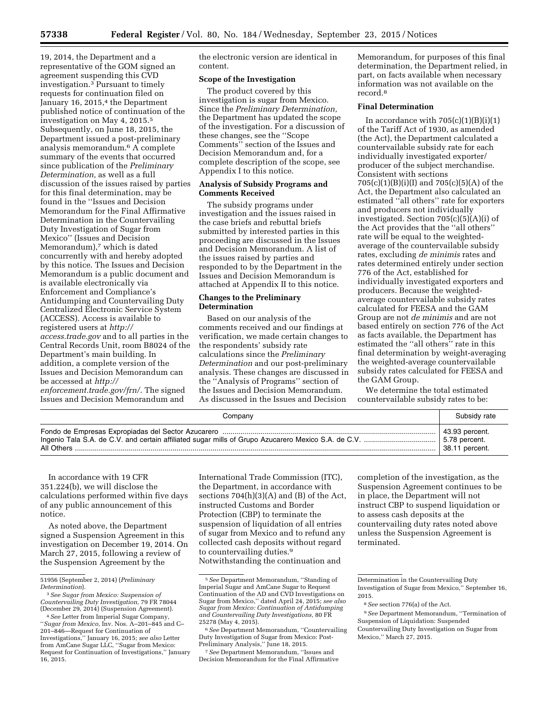19, 2014, the Department and a representative of the GOM signed an agreement suspending this CVD investigation.3 Pursuant to timely requests for continuation filed on January 16, 2015,<sup>4</sup> the Department published notice of continuation of the investigation on May 4, 2015.5 Subsequently, on June 18, 2015, the Department issued a post-preliminary analysis memorandum.6 A complete summary of the events that occurred since publication of the *Preliminary Determination,* as well as a full discussion of the issues raised by parties for this final determination, may be found in the ''Issues and Decision Memorandum for the Final Affirmative Determination in the Countervailing Duty Investigation of Sugar from Mexico'' (Issues and Decision Memorandum),<sup>7</sup> which is dated concurrently with and hereby adopted by this notice. The Issues and Decision Memorandum is a public document and is available electronically via Enforcement and Compliance's Antidumping and Countervailing Duty Centralized Electronic Service System (ACCESS). Access is available to registered users at *[http://](http://access.trade.gov) [access.trade.gov](http://access.trade.gov)* and to all parties in the Central Records Unit, room B8024 of the Department's main building. In addition, a complete version of the Issues and Decision Memorandum can be accessed at *[http://](http://enforcement.trade.gov/frn/) [enforcement.trade.gov/frn/.](http://enforcement.trade.gov/frn/)* The signed Issues and Decision Memorandum and

the electronic version are identical in content.

### **Scope of the Investigation**

The product covered by this investigation is sugar from Mexico. Since the *Preliminary Determination,*  the Department has updated the scope of the investigation. For a discussion of these changes, see the ''Scope Comments'' section of the Issues and Decision Memorandum and, for a complete description of the scope, see Appendix I to this notice.

### **Analysis of Subsidy Programs and Comments Received**

The subsidy programs under investigation and the issues raised in the case briefs and rebuttal briefs submitted by interested parties in this proceeding are discussed in the Issues and Decision Memorandum. A list of the issues raised by parties and responded to by the Department in the Issues and Decision Memorandum is attached at Appendix II to this notice.

### **Changes to the Preliminary Determination**

Based on our analysis of the comments received and our findings at verification, we made certain changes to the respondents' subsidy rate calculations since the *Preliminary Determination* and our post-preliminary analysis. These changes are discussed in the ''Analysis of Programs'' section of the Issues and Decision Memorandum. As discussed in the Issues and Decision

Memorandum, for purposes of this final determination, the Department relied, in part, on facts available when necessary information was not available on the record.8

#### **Final Determination**

In accordance with  $705(c)(1)(B)(i)(1)$ of the Tariff Act of 1930, as amended (the Act), the Department calculated a countervailable subsidy rate for each individually investigated exporter/ producer of the subject merchandise. Consistent with sections 705(c)(1)(B)(i)(I) and 705(c)(5)(A) of the Act, the Department also calculated an estimated ''all others'' rate for exporters and producers not individually investigated. Section 705(c)(5)(A)(i) of the Act provides that the ''all others'' rate will be equal to the weightedaverage of the countervailable subsidy rates, excluding *de minimis* rates and rates determined entirely under section 776 of the Act, established for individually investigated exporters and producers. Because the weightedaverage countervailable subsidy rates calculated for FEESA and the GAM Group are not *de minimis* and are not based entirely on section 776 of the Act as facts available, the Department has estimated the ''all others'' rate in this final determination by weight-averaging the weighted-average countervailable subsidy rates calculated for FEESA and the GAM Group.

We determine the total estimated countervailable subsidy rates to be:

| Company | Subsidy rate   |
|---------|----------------|
|         | 43.93 percent. |
|         | 5.78 percent.  |
|         | 38.11 percent. |

In accordance with 19 CFR 351.224(b), we will disclose the calculations performed within five days of any public announcement of this notice.

As noted above, the Department signed a Suspension Agreement in this investigation on December 19, 2014. On March 27, 2015, following a review of the Suspension Agreement by the

International Trade Commission (ITC), the Department, in accordance with sections  $704(h)(3)(A)$  and  $(B)$  of the Act, instructed Customs and Border Protection (CBP) to terminate the suspension of liquidation of all entries of sugar from Mexico and to refund any collected cash deposits without regard to countervailing duties.<sup>9</sup> Notwithstanding the continuation and

7*See* Department Memorandum, ''Issues and Decision Memorandum for the Final Affirmative

completion of the investigation, as the Suspension Agreement continues to be in place, the Department will not instruct CBP to suspend liquidation or to assess cash deposits at the countervailing duty rates noted above unless the Suspension Agreement is terminated.

<sup>51956 (</sup>September 2, 2014) (*Preliminary* 

*Determination*). 3*See Sugar from Mexico: Suspension of Countervailing Duty Investigation,* 79 FR 78044 (December 29, 2014) (Suspension Agreement).

<sup>4</sup>*See* Letter from Imperial Sugar Company, ''*Sugar from Mexico,* Inv. Nos. A–201–845 and C– 201–846—Request for Continuation of Investigations,'' January 16, 2015; *see also* Letter from AmCane Sugar LLC, "Sugar from Mexico: Request for Continuation of Investigations,'' January 16, 2015.

<sup>5</sup>*See* Department Memorandum, ''Standing of Imperial Sugar and AmCane Sugar to Request Continuation of the AD and CVD Investigations on Sugar from Mexico,'' dated April 24, 2015; *see also Sugar from Mexico: Continuation of Antidumping and Countervailing Duty Investigations,* 80 FR 25278 (May 4, 2015).

<sup>6</sup>*See* Department Memorandum, ''Countervailing Duty Investigation of Sugar from Mexico: Post-Preliminary Analysis,'' June 18, 2015.

Determination in the Countervailing Duty Investigation of Sugar from Mexico,'' September 16, 2015.

<sup>8</sup>*See* section 776(a) of the Act.

<sup>9</sup>*See* Department Memorandum, ''Termination of Suspension of Liquidation: Suspended Countervailing Duty Investigation on Sugar from Mexico,'' March 27, 2015.